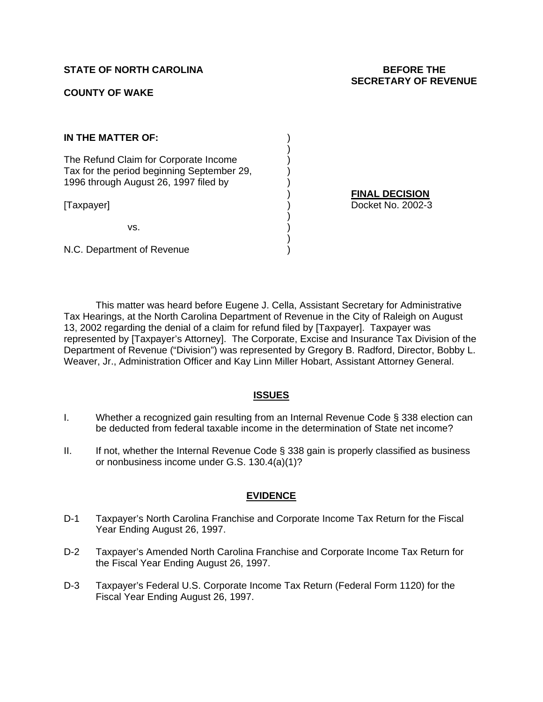# **STATE OF NORTH CAROLINA BEFORE THE**

#### **COUNTY OF WAKE**

# **SECRETARY OF REVENUE**

| IN THE MATTER OF:                                                                                                            |  |
|------------------------------------------------------------------------------------------------------------------------------|--|
| The Refund Claim for Corporate Income<br>Tax for the period beginning September 29,<br>1996 through August 26, 1997 filed by |  |
| [Taxpayer]                                                                                                                   |  |
| VS.                                                                                                                          |  |

) **FINAL DECISION** (a) Docket No. 2002-3

N.C. Department of Revenue

This matter was heard before Eugene J. Cella, Assistant Secretary for Administrative Tax Hearings, at the North Carolina Department of Revenue in the City of Raleigh on August 13, 2002 regarding the denial of a claim for refund filed by [Taxpayer]. Taxpayer was represented by [Taxpayer's Attorney]. The Corporate, Excise and Insurance Tax Division of the Department of Revenue ("Division") was represented by Gregory B. Radford, Director, Bobby L. Weaver, Jr., Administration Officer and Kay Linn Miller Hobart, Assistant Attorney General.

# **ISSUES**

- I. Whether a recognized gain resulting from an Internal Revenue Code § 338 election can be deducted from federal taxable income in the determination of State net income?
- II. If not, whether the Internal Revenue Code  $\S$  338 gain is properly classified as business or nonbusiness income under G.S. 130.4(a)(1)?

# **EVIDENCE**

- D-1 Taxpayer's North Carolina Franchise and Corporate Income Tax Return for the Fiscal Year Ending August 26, 1997.
- D-2 Taxpayer's Amended North Carolina Franchise and Corporate Income Tax Return for the Fiscal Year Ending August 26, 1997.
- D-3 Taxpayer's Federal U.S. Corporate Income Tax Return (Federal Form 1120) for the Fiscal Year Ending August 26, 1997.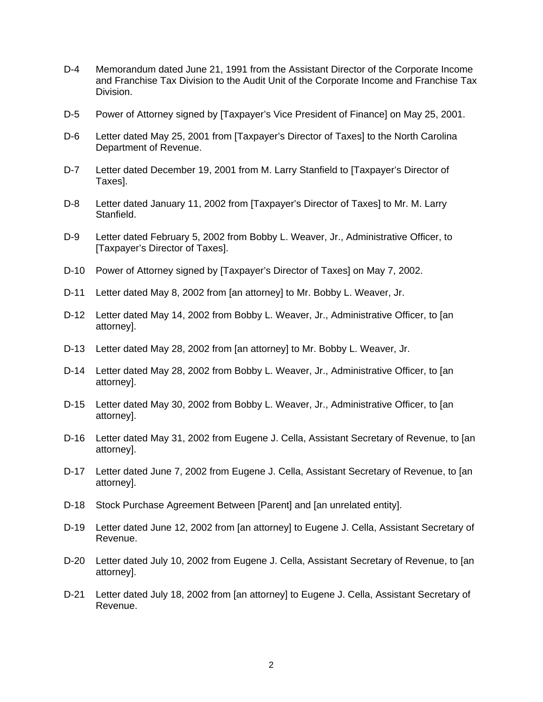- D-4 Memorandum dated June 21, 1991 from the Assistant Director of the Corporate Income and Franchise Tax Division to the Audit Unit of the Corporate Income and Franchise Tax Division.
- D-5 Power of Attorney signed by [Taxpayer's Vice President of Finance] on May 25, 2001.
- D-6 Letter dated May 25, 2001 from [Taxpayer's Director of Taxes] to the North Carolina Department of Revenue.
- D-7 Letter dated December 19, 2001 from M. Larry Stanfield to [Taxpayer's Director of Taxes].
- D-8 Letter dated January 11, 2002 from [Taxpayer's Director of Taxes] to Mr. M. Larry Stanfield.
- D-9 Letter dated February 5, 2002 from Bobby L. Weaver, Jr., Administrative Officer, to [Taxpayer's Director of Taxes].
- D-10 Power of Attorney signed by [Taxpayer's Director of Taxes] on May 7, 2002.
- D-11 Letter dated May 8, 2002 from [an attorney] to Mr. Bobby L. Weaver, Jr.
- D-12 Letter dated May 14, 2002 from Bobby L. Weaver, Jr., Administrative Officer, to [an attorney].
- D-13 Letter dated May 28, 2002 from [an attorney] to Mr. Bobby L. Weaver, Jr.
- D-14 Letter dated May 28, 2002 from Bobby L. Weaver, Jr., Administrative Officer, to [an attorney].
- D-15 Letter dated May 30, 2002 from Bobby L. Weaver, Jr., Administrative Officer, to [an attorney].
- D-16 Letter dated May 31, 2002 from Eugene J. Cella, Assistant Secretary of Revenue, to [an attorney].
- D-17 Letter dated June 7, 2002 from Eugene J. Cella, Assistant Secretary of Revenue, to [an attorney].
- D-18 Stock Purchase Agreement Between [Parent] and [an unrelated entity].
- D-19 Letter dated June 12, 2002 from [an attorney] to Eugene J. Cella, Assistant Secretary of Revenue.
- D-20 Letter dated July 10, 2002 from Eugene J. Cella, Assistant Secretary of Revenue, to [an attorney].
- D-21 Letter dated July 18, 2002 from [an attorney] to Eugene J. Cella, Assistant Secretary of Revenue.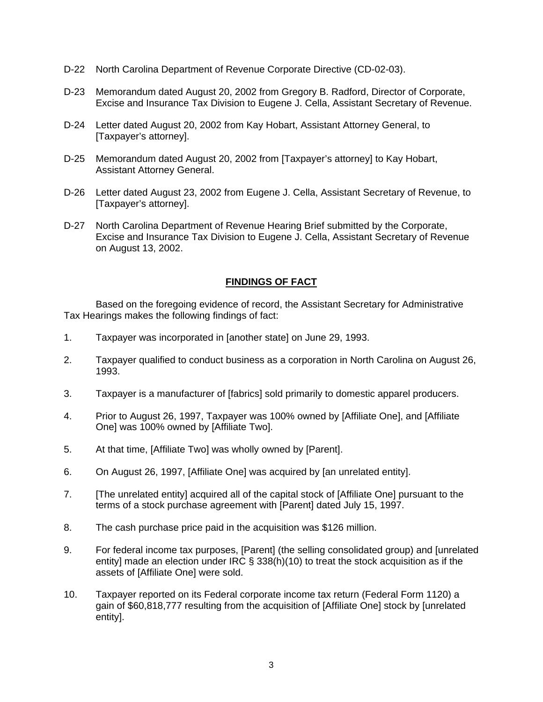- D-22 North Carolina Department of Revenue Corporate Directive (CD-02-03).
- D-23 Memorandum dated August 20, 2002 from Gregory B. Radford, Director of Corporate, Excise and Insurance Tax Division to Eugene J. Cella, Assistant Secretary of Revenue.
- D-24 Letter dated August 20, 2002 from Kay Hobart, Assistant Attorney General, to [Taxpayer's attorney].
- D-25 Memorandum dated August 20, 2002 from [Taxpayer's attorney] to Kay Hobart, Assistant Attorney General.
- D-26 Letter dated August 23, 2002 from Eugene J. Cella, Assistant Secretary of Revenue, to [Taxpayer's attorney].
- D-27 North Carolina Department of Revenue Hearing Brief submitted by the Corporate, Excise and Insurance Tax Division to Eugene J. Cella, Assistant Secretary of Revenue on August 13, 2002.

# **FINDINGS OF FACT**

Based on the foregoing evidence of record, the Assistant Secretary for Administrative Tax Hearings makes the following findings of fact:

- 1. Taxpayer was incorporated in [another state] on June 29, 1993.
- 2. Taxpayer qualified to conduct business as a corporation in North Carolina on August 26, 1993.
- 3. Taxpayer is a manufacturer of [fabrics] sold primarily to domestic apparel producers.
- 4. Prior to August 26, 1997, Taxpayer was 100% owned by [Affiliate One], and [Affiliate One] was 100% owned by [Affiliate Two].
- 5. At that time, [Affiliate Two] was wholly owned by [Parent].
- 6. On August 26, 1997, [Affiliate One] was acquired by [an unrelated entity].
- 7. [The unrelated entity] acquired all of the capital stock of [Affiliate One] pursuant to the terms of a stock purchase agreement with [Parent] dated July 15, 1997.
- 8. The cash purchase price paid in the acquisition was \$126 million.
- 9. For federal income tax purposes, [Parent] (the selling consolidated group) and [unrelated entity] made an election under IRC § 338(h)(10) to treat the stock acquisition as if the assets of [Affiliate One] were sold.
- 10. Taxpayer reported on its Federal corporate income tax return (Federal Form 1120) a gain of \$60,818,777 resulting from the acquisition of [Affiliate One] stock by [unrelated entity].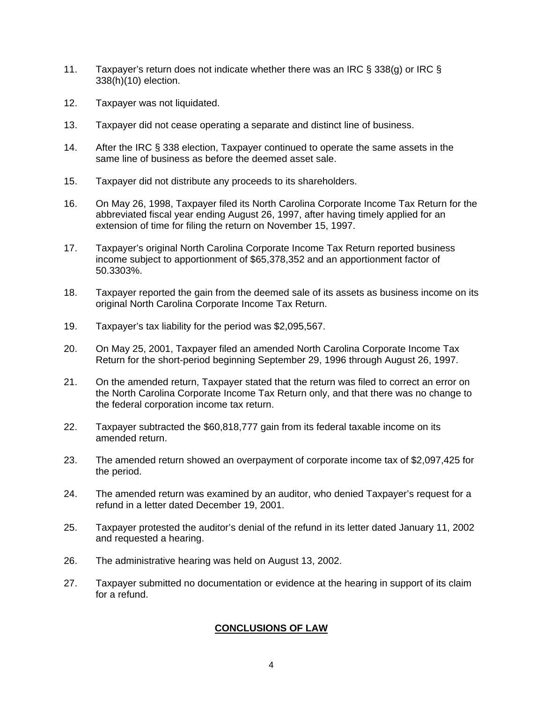- 11. Taxpayer's return does not indicate whether there was an IRC § 338(g) or IRC § 338(h)(10) election.
- 12. Taxpayer was not liquidated.
- 13. Taxpayer did not cease operating a separate and distinct line of business.
- 14. After the IRC § 338 election, Taxpayer continued to operate the same assets in the same line of business as before the deemed asset sale.
- 15. Taxpayer did not distribute any proceeds to its shareholders.
- 16. On May 26, 1998, Taxpayer filed its North Carolina Corporate Income Tax Return for the abbreviated fiscal year ending August 26, 1997, after having timely applied for an extension of time for filing the return on November 15, 1997.
- 17. Taxpayer's original North Carolina Corporate Income Tax Return reported business income subject to apportionment of \$65,378,352 and an apportionment factor of 50.3303%.
- 18. Taxpayer reported the gain from the deemed sale of its assets as business income on its original North Carolina Corporate Income Tax Return.
- 19. Taxpayer's tax liability for the period was \$2,095,567.
- 20. On May 25, 2001, Taxpayer filed an amended North Carolina Corporate Income Tax Return for the short-period beginning September 29, 1996 through August 26, 1997.
- 21. On the amended return, Taxpayer stated that the return was filed to correct an error on the North Carolina Corporate Income Tax Return only, and that there was no change to the federal corporation income tax return.
- 22. Taxpayer subtracted the \$60,818,777 gain from its federal taxable income on its amended return.
- 23. The amended return showed an overpayment of corporate income tax of \$2,097,425 for the period.
- 24. The amended return was examined by an auditor, who denied Taxpayer's request for a refund in a letter dated December 19, 2001.
- 25. Taxpayer protested the auditor's denial of the refund in its letter dated January 11, 2002 and requested a hearing.
- 26. The administrative hearing was held on August 13, 2002.
- 27. Taxpayer submitted no documentation or evidence at the hearing in support of its claim for a refund.

# **CONCLUSIONS OF LAW**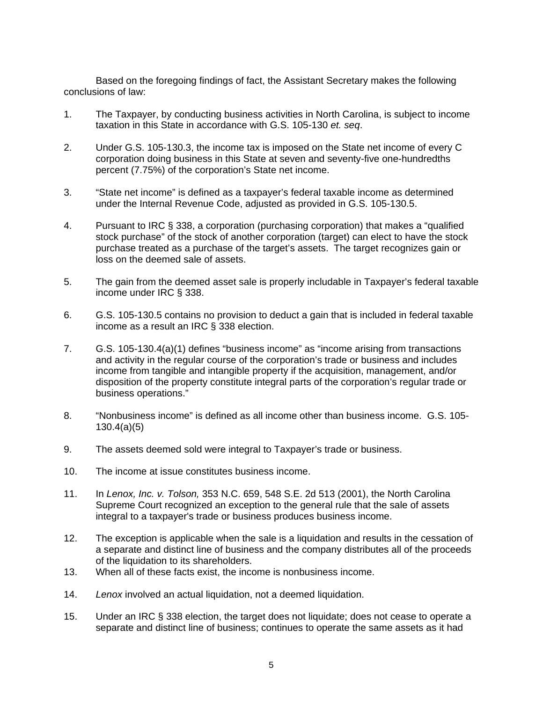Based on the foregoing findings of fact, the Assistant Secretary makes the following conclusions of law:

- 1. The Taxpayer, by conducting business activities in North Carolina, is subject to income taxation in this State in accordance with G.S. 105-130 *et. seq*.
- 2. Under G.S. 105-130.3, the income tax is imposed on the State net income of every C corporation doing business in this State at seven and seventy-five one-hundredths percent (7.75%) of the corporation's State net income.
- 3. "State net income" is defined as a taxpayer's federal taxable income as determined under the Internal Revenue Code, adjusted as provided in G.S. 105-130.5.
- 4. Pursuant to IRC § 338, a corporation (purchasing corporation) that makes a "qualified stock purchase" of the stock of another corporation (target) can elect to have the stock purchase treated as a purchase of the target's assets. The target recognizes gain or loss on the deemed sale of assets.
- 5. The gain from the deemed asset sale is properly includable in Taxpayer's federal taxable income under IRC § 338.
- 6. G.S. 105-130.5 contains no provision to deduct a gain that is included in federal taxable income as a result an IRC § 338 election.
- 7. G.S. 105-130.4(a)(1) defines "business income" as "income arising from transactions and activity in the regular course of the corporation's trade or business and includes income from tangible and intangible property if the acquisition, management, and/or disposition of the property constitute integral parts of the corporation's regular trade or business operations."
- 8. "Nonbusiness income" is defined as all income other than business income. G.S. 105- 130.4(a)(5)
- 9. The assets deemed sold were integral to Taxpayer's trade or business.
- 10. The income at issue constitutes business income.
- 11. In *Lenox, Inc. v. Tolson,* 353 N.C. 659, 548 S.E. 2d 513 (2001), the North Carolina Supreme Court recognized an exception to the general rule that the sale of assets integral to a taxpayer's trade or business produces business income.
- 12. The exception is applicable when the sale is a liquidation and results in the cessation of a separate and distinct line of business and the company distributes all of the proceeds of the liquidation to its shareholders.
- 13. When all of these facts exist, the income is nonbusiness income.
- 14. *Lenox* involved an actual liquidation, not a deemed liquidation.
- 15. Under an IRC § 338 election, the target does not liquidate; does not cease to operate a separate and distinct line of business; continues to operate the same assets as it had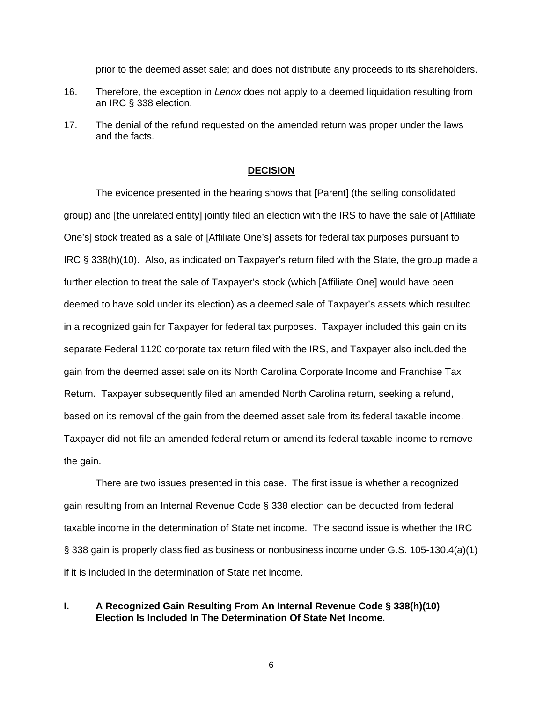prior to the deemed asset sale; and does not distribute any proceeds to its shareholders.

- 16. Therefore, the exception in *Lenox* does not apply to a deemed liquidation resulting from an IRC § 338 election.
- 17. The denial of the refund requested on the amended return was proper under the laws and the facts.

#### **DECISION**

The evidence presented in the hearing shows that [Parent] (the selling consolidated group) and [the unrelated entity] jointly filed an election with the IRS to have the sale of [Affiliate One's] stock treated as a sale of [Affiliate One's] assets for federal tax purposes pursuant to IRC § 338(h)(10). Also, as indicated on Taxpayer's return filed with the State, the group made a further election to treat the sale of Taxpayer's stock (which [Affiliate One] would have been deemed to have sold under its election) as a deemed sale of Taxpayer's assets which resulted in a recognized gain for Taxpayer for federal tax purposes. Taxpayer included this gain on its separate Federal 1120 corporate tax return filed with the IRS, and Taxpayer also included the gain from the deemed asset sale on its North Carolina Corporate Income and Franchise Tax Return. Taxpayer subsequently filed an amended North Carolina return, seeking a refund, based on its removal of the gain from the deemed asset sale from its federal taxable income. Taxpayer did not file an amended federal return or amend its federal taxable income to remove the gain.

There are two issues presented in this case. The first issue is whether a recognized gain resulting from an Internal Revenue Code § 338 election can be deducted from federal taxable income in the determination of State net income. The second issue is whether the IRC § 338 gain is properly classified as business or nonbusiness income under G.S. 105-130.4(a)(1) if it is included in the determination of State net income.

#### **I. A Recognized Gain Resulting From An Internal Revenue Code § 338(h)(10) Election Is Included In The Determination Of State Net Income.**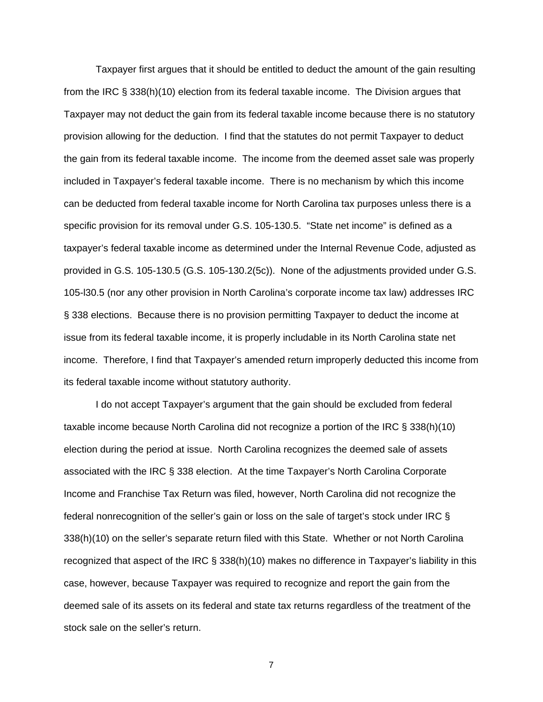Taxpayer first argues that it should be entitled to deduct the amount of the gain resulting from the IRC § 338(h)(10) election from its federal taxable income. The Division argues that Taxpayer may not deduct the gain from its federal taxable income because there is no statutory provision allowing for the deduction. I find that the statutes do not permit Taxpayer to deduct the gain from its federal taxable income. The income from the deemed asset sale was properly included in Taxpayer's federal taxable income. There is no mechanism by which this income can be deducted from federal taxable income for North Carolina tax purposes unless there is a specific provision for its removal under G.S. 105-130.5. "State net income" is defined as a taxpayer's federal taxable income as determined under the Internal Revenue Code, adjusted as provided in G.S. 105-130.5 (G.S. 105-130.2(5c)). None of the adjustments provided under G.S. 105-l30.5 (nor any other provision in North Carolina's corporate income tax law) addresses IRC § 338 elections. Because there is no provision permitting Taxpayer to deduct the income at issue from its federal taxable income, it is properly includable in its North Carolina state net income. Therefore, I find that Taxpayer's amended return improperly deducted this income from its federal taxable income without statutory authority.

I do not accept Taxpayer's argument that the gain should be excluded from federal taxable income because North Carolina did not recognize a portion of the IRC § 338(h)(10) election during the period at issue. North Carolina recognizes the deemed sale of assets associated with the IRC § 338 election. At the time Taxpayer's North Carolina Corporate Income and Franchise Tax Return was filed, however, North Carolina did not recognize the federal nonrecognition of the seller's gain or loss on the sale of target's stock under IRC § 338(h)(10) on the seller's separate return filed with this State. Whether or not North Carolina recognized that aspect of the IRC § 338(h)(10) makes no difference in Taxpayer's liability in this case, however, because Taxpayer was required to recognize and report the gain from the deemed sale of its assets on its federal and state tax returns regardless of the treatment of the stock sale on the seller's return.

7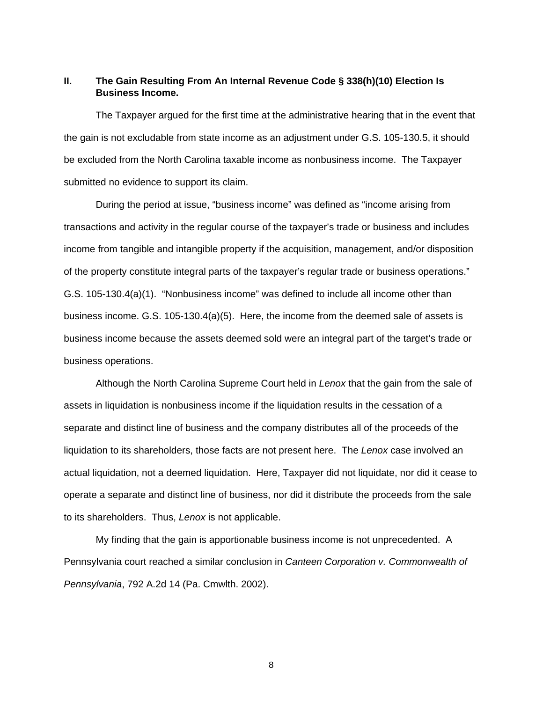#### **II. The Gain Resulting From An Internal Revenue Code § 338(h)(10) Election Is Business Income.**

The Taxpayer argued for the first time at the administrative hearing that in the event that the gain is not excludable from state income as an adjustment under G.S. 105-130.5, it should be excluded from the North Carolina taxable income as nonbusiness income. The Taxpayer submitted no evidence to support its claim.

During the period at issue, "business income" was defined as "income arising from transactions and activity in the regular course of the taxpayer's trade or business and includes income from tangible and intangible property if the acquisition, management, and/or disposition of the property constitute integral parts of the taxpayer's regular trade or business operations." G.S. 105-130.4(a)(1). "Nonbusiness income" was defined to include all income other than business income. G.S. 105-130.4(a)(5). Here, the income from the deemed sale of assets is business income because the assets deemed sold were an integral part of the target's trade or business operations.

Although the North Carolina Supreme Court held in *Lenox* that the gain from the sale of assets in liquidation is nonbusiness income if the liquidation results in the cessation of a separate and distinct line of business and the company distributes all of the proceeds of the liquidation to its shareholders, those facts are not present here. The *Lenox* case involved an actual liquidation, not a deemed liquidation. Here, Taxpayer did not liquidate, nor did it cease to operate a separate and distinct line of business, nor did it distribute the proceeds from the sale to its shareholders. Thus, *Lenox* is not applicable.

My finding that the gain is apportionable business income is not unprecedented. A Pennsylvania court reached a similar conclusion in *Canteen Corporation v. Commonwealth of Pennsylvania*, 792 A.2d 14 (Pa. Cmwlth. 2002).

8